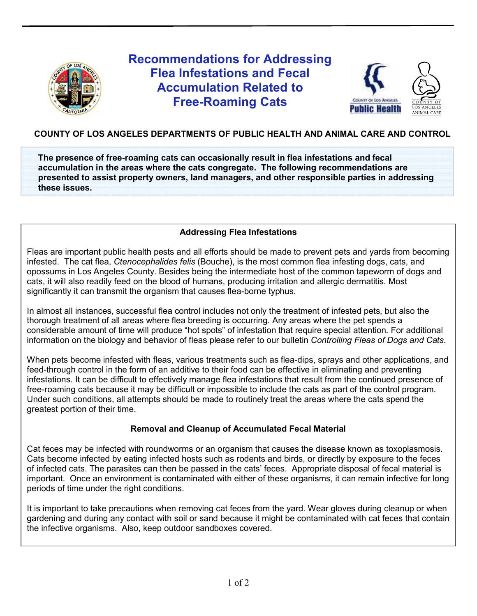

# **Recommendations for Addressing Flea Infestations and Fecal Accumulation Related to Free-Roaming Cats**



## **COUNTY OF LOS ANGELES DEPARTMENTS OF PUBLIC HEALTH AND ANIMAL CARE AND CONTROL**

**The presence of free-roaming cats can occasionally result in flea infestations and fecal accumulation in the areas where the cats congregate. The following recommendations are presented to assist property owners, land managers, and other responsible parties in addressing these issues.**

### **Addressing Flea Infestations**

Fleas are important public health pests and all efforts should be made to prevent pets and yards from becoming infested. The cat flea, *Ctenocephalides felis* (Bouche), is the most common flea infesting dogs, cats, and opossums in Los Angeles County. Besides being the intermediate host of the common tapeworm of dogs and cats, it will also readily feed on the blood of humans, producing irritation and allergic dermatitis. Most significantly it can transmit the organism that causes flea-borne typhus.

In almost all instances, successful flea control includes not only the treatment of infested pets, but also the thorough treatment of all areas where flea breeding is occurring. Any areas where the pet spends a considerable amount of time will produce "hot spots" of infestation that require special attention. For additional information on the biology and behavior of fleas please refer to our bulletin *Controlling Fleas of Dogs and Cats*.

When pets become infested with fleas, various treatments such as flea-dips, sprays and other applications, and feed-through control in the form of an additive to their food can be effective in eliminating and preventing infestations. It can be difficult to effectively manage flea infestations that result from the continued presence of free-roaming cats because it may be difficult or impossible to include the cats as part of the control program. Under such conditions, all attempts should be made to routinely treat the areas where the cats spend the greatest portion of their time.

### **Removal and Cleanup of Accumulated Fecal Material**

Cat feces may be infected with roundworms or an organism that causes the disease known as toxoplasmosis. Cats become infected by eating infected hosts such as rodents and birds, or directly by exposure to the feces of infected cats. The parasites can then be passed in the cats' feces. Appropriate disposal of fecal material is important. Once an environment is contaminated with either of these organisms, it can remain infective for long periods of time under the right conditions.

It is important to take precautions when removing cat feces from the yard. Wear gloves during cleanup or when gardening and during any contact with soil or sand because it might be contaminated with cat feces that contain the infective organisms. Also, keep outdoor sandboxes covered.